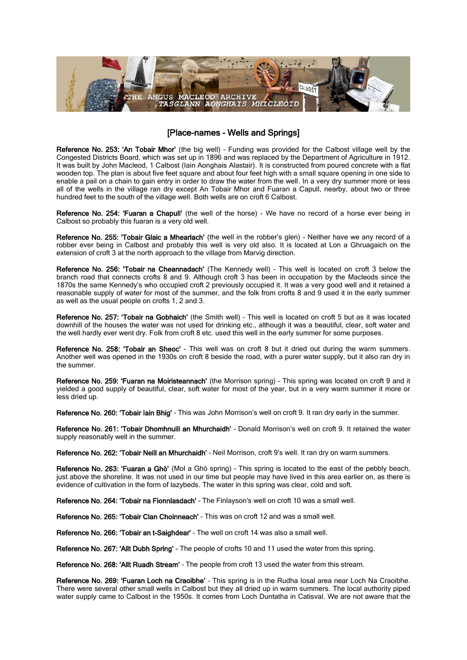

## [Place-names - Wells and Springs]

Reference No. 253: 'An Tobair Mhor' (the big well) – Funding was provided for the Calbost village well by the Congested Districts Board, which was set up in 1896 and was replaced by the Department of Agriculture in 1912. It was built by John Macleod, 1 Calbost (Iain Aonghais Alastair). It is constructed from poured concrete with a flat wooden top. The plan is about five feet square and about four feet high with a small square opening in one side to enable a pail on a chain to gain entry in order to draw the water from the well. In a very dry summer more or less all of the wells in the village ran dry except An Tobair Mhor and Fuaran a Capull, nearby, about two or three hundred feet to the south of the village well. Both wells are on croft 6 Calbost.

Reference No. 254: 'Fuaran a Chapull' (the well of the horse) - We have no record of a horse ever being in Calbost so probably this fuaran is a very old well.

Reference No. 255: 'Tobair Glaic a Mhearlach' (the well in the robber's glen) - Neither have we any record of a robber ever being in Calbost and probably this well is very old also. It is located at Lon a Ghruagaich on the extension of croft 3 at the north approach to the village from Marvig direction.

Reference No. 256: 'Tobair na Cheannadach' (The Kennedy well) – This well is located on croft 3 below the branch road that connects crofts 8 and 9. Although croft 3 has been in occupation by the Macleods since the 1870s the same Kennedy's who occupied croft 2 previously occupied it. It was a very good well and it retained a reasonable supply of water for most of the summer, and the folk from crofts 8 and 9 used it in the early summer as well as the usual people on crofts 1, 2 and 3.

Reference No. 257: 'Tobair na Gobhaich' (the Smith well) - This well is located on croft 5 but as it was located downhill of the houses the water was not used for drinking etc., although it was a beautiful, clear, soft water and the well hardly ever went dry. Folk from croft 8 etc. used this well in the early summer for some purposes.

Reference No. 258: 'Tobair an Sheoc' - This well was on croft 8 but it dried out during the warm summers. Another well was opened in the 1930s on croft 8 beside the road, with a purer water supply, but it also ran dry in the summer.

Reference No. 259: 'Fuaran na Moiristeannach' (the Morrison spring) - This spring was located on croft 9 and it yielded a good supply of beautiful, clear, soft water for most of the year, but in a very warm summer it more or less dried up.

Reference No. 260: 'Tobair Iain Bhig' - This was John Morrison's well on croft 9. It ran dry early in the summer.

Reference No. 261: 'Tobair Dhomhnuill an Mhurchaidh' – Donald Morrison's well on croft 9. It retained the water supply reasonably well in the summer.

Reference No. 262: 'Tobair Neill an Mhurchaidh' - Neil Morrison, croft 9's well. It ran dry on warm summers.

Reference No. 263: 'Fuaran a Ghò' (Mol a Ghò spring) – This spring is located to the east of the pebbly beach, just above the shoreline. It was not used in our time but people may have lived in this area earlier on, as there is evidence of cultivation in the form of lazybeds. The water in this spring was clear, cold and soft.

Reference No. 264: 'Tobair na Fionnlasdach' – The Finlayson's well on croft 10 was a small well.

Reference No. 265: 'Tobair Clan Choinneach' – This was on croft 12 and was a small well.

Reference No. 266: 'Tobair an t-Saighdear' – The well on croft 14 was also a small well.

Reference No. 267: 'Allt Dubh Spring' - The people of crofts 10 and 11 used the water from this spring.

Reference No. 268: 'Allt Ruadh Stream' – The people from croft 13 used the water from this stream.

Reference No. 269: 'Fuaran Loch na Craoibhe' - This spring is in the Rudha Iosal area near Loch Na Craoibhe. There were several other small wells in Calbost but they all dried up in warm summers. The local authority piped water supply came to Calbost in the 1950s. It comes from Loch Duntatha in Catisval. We are not aware that the